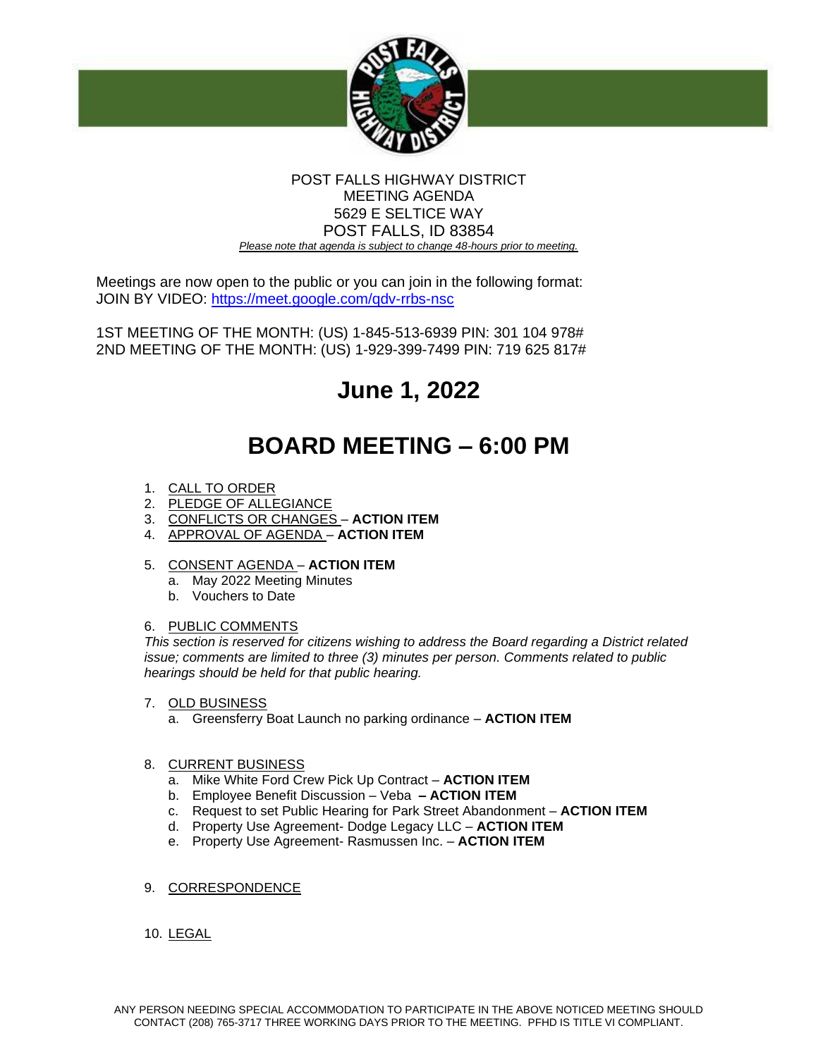

## POST FALLS HIGHWAY DISTRICT MEETING AGENDA 5629 E SELTICE WAY POST FALLS, ID 83854 *Please note that agenda is subject to change 48-hours prior to meeting.*

Meetings are now open to the public or you can join in the following format: JOIN BY VIDEO:<https://meet.google.com/qdv-rrbs-nsc>

1ST MEETING OF THE MONTH: (US) 1-845-513-6939 PIN: 301 104 978# 2ND MEETING OF THE MONTH: (US) 1-929-399-7499 PIN: 719 625 817#

# **June 1, 2022**

## **BOARD MEETING – 6:00 PM**

- 1. CALL TO ORDER
- 2. PLEDGE OF ALLEGIANCE
- 3. CONFLICTS OR CHANGES **ACTION ITEM**
- 4. APPROVAL OF AGENDA **ACTION ITEM**
- 5. CONSENT AGENDA **ACTION ITEM**
	- a. May 2022 Meeting Minutes
	- b. Vouchers to Date

## 6. PUBLIC COMMENTS

*This section is reserved for citizens wishing to address the Board regarding a District related issue; comments are limited to three (3) minutes per person. Comments related to public hearings should be held for that public hearing.* 

- 7. OLD BUSINESS
	- a. Greensferry Boat Launch no parking ordinance **ACTION ITEM**

## 8. CURRENT BUSINESS

- a. Mike White Ford Crew Pick Up Contract **ACTION ITEM**
- b. Employee Benefit Discussion Veba **– ACTION ITEM**
- c. Request to set Public Hearing for Park Street Abandonment **ACTION ITEM**
- d. Property Use Agreement- Dodge Legacy LLC **ACTION ITEM**
- e. Property Use Agreement- Rasmussen Inc. **ACTION ITEM**
- 9. CORRESPONDENCE
- 10. LEGAL